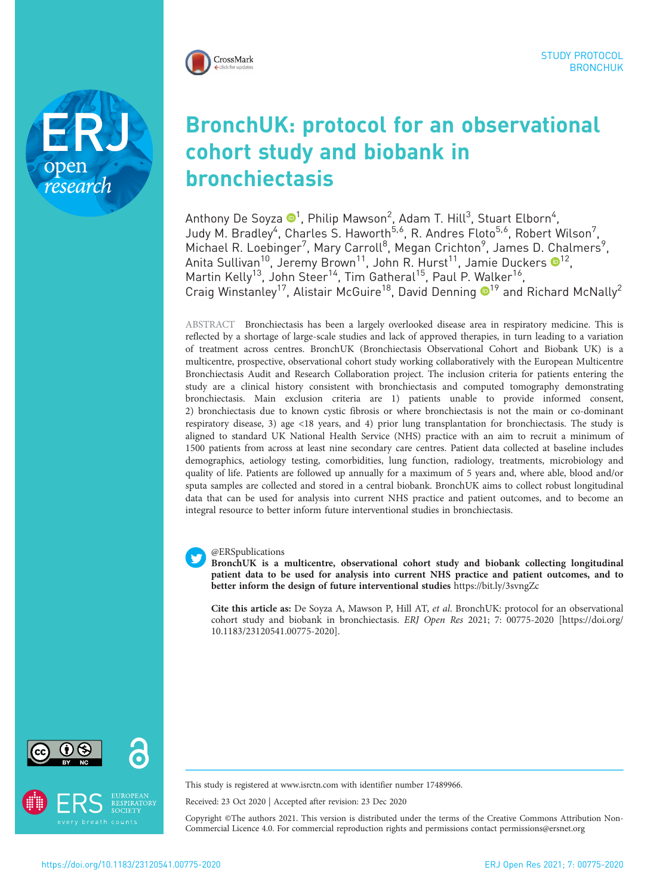

research

# BronchUK: protocol for an observational cohort study and biobank in bronchiectasis

Anthony De Soyza  $\mathbf{O}^1$ , Philip Mawson $^2$ , Adam T. Hill $^3$ , Stuart Elborn $^4$ , Judy M. Bradley<sup>4</sup>, Charles S. Haworth<sup>5,6</sup>, R. Andres Floto<sup>5,6</sup>, Robert Wilson<sup>7</sup>, Michael R. Loebinger<sup>7</sup>, Mary Carroll<sup>8</sup>, Megan Crichton<sup>9</sup>, James D. Chalmers<sup>9</sup>, Anita Sullivan $^{10}$ , Jeremy Brown $^{11}$ , John R. Hurst $^{11}$ , Jamie Duckers  $\mathbf{0}^{12}$ , Martin Kelly<sup>13</sup>, John Steer<sup>14</sup>, Tim Gatheral<sup>15</sup>, Paul P. Walker<sup>16</sup>, Craig Winstanley<sup>17</sup>, Alistair McGuire<sup>18</sup>, David Denning <sup>19</sup> and Richard McNally<sup>2</sup>

ABSTRACT Bronchiectasis has been a largely overlooked disease area in respiratory medicine. This is reflected by a shortage of large-scale studies and lack of approved therapies, in turn leading to a variation of treatment across centres. BronchUK (Bronchiectasis Observational Cohort and Biobank UK) is a multicentre, prospective, observational cohort study working collaboratively with the European Multicentre Bronchiectasis Audit and Research Collaboration project. The inclusion criteria for patients entering the study are a clinical history consistent with bronchiectasis and computed tomography demonstrating bronchiectasis. Main exclusion criteria are 1) patients unable to provide informed consent, 2) bronchiectasis due to known cystic fibrosis or where bronchiectasis is not the main or co-dominant respiratory disease, 3) age <18 years, and 4) prior lung transplantation for bronchiectasis. The study is aligned to standard UK National Health Service (NHS) practice with an aim to recruit a minimum of 1500 patients from across at least nine secondary care centres. Patient data collected at baseline includes demographics, aetiology testing, comorbidities, lung function, radiology, treatments, microbiology and quality of life. Patients are followed up annually for a maximum of 5 years and, where able, blood and/or sputa samples are collected and stored in a central biobank. BronchUK aims to collect robust longitudinal data that can be used for analysis into current NHS practice and patient outcomes, and to become an integral resource to better inform future interventional studies in bronchiectasis.

### @ERSpublications

BronchUK is a multicentre, observational cohort study and biobank collecting longitudinal patient data to be used for analysis into current NHS practice and patient outcomes, and to better inform the design of future interventional studies <https://bit.ly/3svngZc>

Cite this article as: De Soyza A, Mawson P, Hill AT, et al. BronchUK: protocol for an observational cohort study and biobank in bronchiectasis. ERJ Open Res 2021; 7: 00775-2020 [\[https://doi.org/](https://doi.org/10.1183/23120541.00775-2020) [10.1183/23120541.00775-2020\].](https://doi.org/10.1183/23120541.00775-2020)



This study is registered at [www.isrctn.com](http://www.isrctn.com) with identifier number 17489966.

Received: 23 Oct 2020 | Accepted after revision: 23 Dec 2020

Copyright ©The authors 2021. This version is distributed under the terms of the Creative Commons Attribution Non-Commercial Licence 4.0. For commercial reproduction rights and permissions contact [permissions@ersnet.org](mailto:permissions@ersnet.org)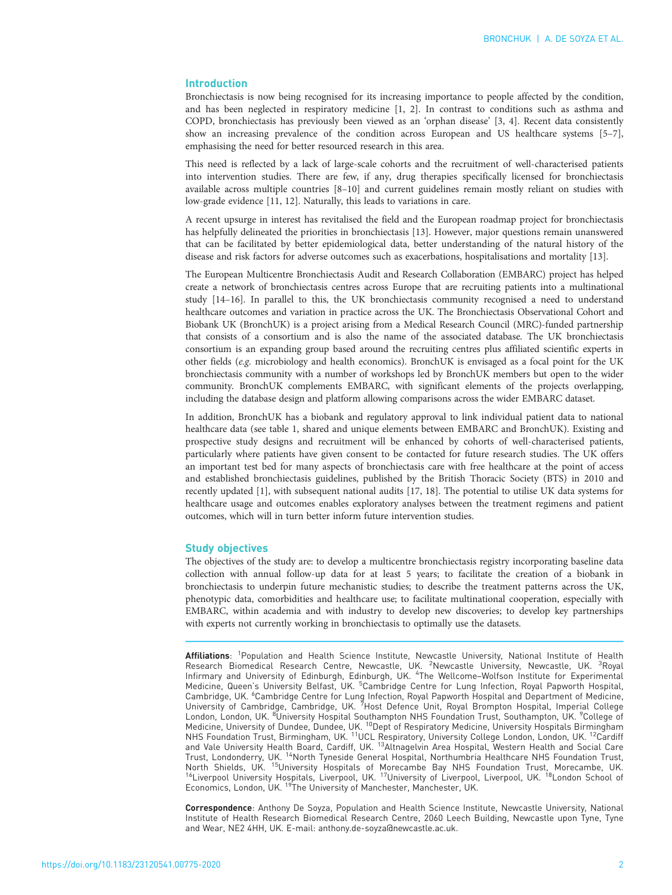# Introduction

Bronchiectasis is now being recognised for its increasing importance to people affected by the condition, and has been neglected in respiratory medicine [[1](#page-7-0), [2\]](#page-7-0). In contrast to conditions such as asthma and COPD, bronchiectasis has previously been viewed as an 'orphan disease' [\[3, 4\]](#page-7-0). Recent data consistently show an increasing prevalence of the condition across European and US healthcare systems [\[5](#page-7-0)–[7\]](#page-7-0), emphasising the need for better resourced research in this area.

This need is reflected by a lack of large-scale cohorts and the recruitment of well-characterised patients into intervention studies. There are few, if any, drug therapies specifically licensed for bronchiectasis available across multiple countries [[8](#page-7-0)–[10](#page-7-0)] and current guidelines remain mostly reliant on studies with low-grade evidence [\[11, 12](#page-7-0)]. Naturally, this leads to variations in care.

A recent upsurge in interest has revitalised the field and the European roadmap project for bronchiectasis has helpfully delineated the priorities in bronchiectasis [\[13](#page-7-0)]. However, major questions remain unanswered that can be facilitated by better epidemiological data, better understanding of the natural history of the disease and risk factors for adverse outcomes such as exacerbations, hospitalisations and mortality [[13](#page-7-0)].

The European Multicentre Bronchiectasis Audit and Research Collaboration (EMBARC) project has helped create a network of bronchiectasis centres across Europe that are recruiting patients into a multinational study [\[14](#page-7-0)–[16\]](#page-7-0). In parallel to this, the UK bronchiectasis community recognised a need to understand healthcare outcomes and variation in practice across the UK. The Bronchiectasis Observational Cohort and Biobank UK (BronchUK) is a project arising from a Medical Research Council (MRC)-funded partnership that consists of a consortium and is also the name of the associated database. The UK bronchiectasis consortium is an expanding group based around the recruiting centres plus affiliated scientific experts in other fields (e.g. microbiology and health economics). BronchUK is envisaged as a focal point for the UK bronchiectasis community with a number of workshops led by BronchUK members but open to the wider community. BronchUK complements EMBARC, with significant elements of the projects overlapping, including the database design and platform allowing comparisons across the wider EMBARC dataset.

In addition, BronchUK has a biobank and regulatory approval to link individual patient data to national healthcare data (see [table 1](#page-2-0), shared and unique elements between EMBARC and BronchUK). Existing and prospective study designs and recruitment will be enhanced by cohorts of well-characterised patients, particularly where patients have given consent to be contacted for future research studies. The UK offers an important test bed for many aspects of bronchiectasis care with free healthcare at the point of access and established bronchiectasis guidelines, published by the British Thoracic Society (BTS) in 2010 and recently updated [\[1\]](#page-7-0), with subsequent national audits [[17](#page-7-0), [18\]](#page-7-0). The potential to utilise UK data systems for healthcare usage and outcomes enables exploratory analyses between the treatment regimens and patient outcomes, which will in turn better inform future intervention studies.

## Study objectives

The objectives of the study are: to develop a multicentre bronchiectasis registry incorporating baseline data collection with annual follow-up data for at least 5 years; to facilitate the creation of a biobank in bronchiectasis to underpin future mechanistic studies; to describe the treatment patterns across the UK, phenotypic data, comorbidities and healthcare use; to facilitate multinational cooperation, especially with EMBARC, within academia and with industry to develop new discoveries; to develop key partnerships with experts not currently working in bronchiectasis to optimally use the datasets.

Affiliations: <sup>1</sup>Population and Health Science Institute, Newcastle University, National Institute of Health Research Biomedical Research Centre, Newcastle, UK. <sup>2</sup>Newcastle University, Newcastle, UK. <sup>3</sup>Royal<br>Infirmary and University of Edinburgh, Edinburgh, UK. <sup>4</sup>The Wellcome–Wolfson Institute for Experimental Medicine, Queen's University Belfast, UK. <sup>5</sup>Cambridge Centre for Lung Infection, Royal Papworth Hospital, Cambridge, UK. <sup>6</sup>Cambridge Centre for Lung Infection, Royal Papworth Hospital and Department of Medicine, University of Cambridge, Cambridge, UK. <sup>7</sup>Host Defence Unit, Royal Brompton Hospital, Imperial College University of Cambridge, Cambridge, UK. 'Host Defence Unit, Royal Brompton Hospital, Imperial College<br>London, London, UK. <sup>8</sup>University Hospital Southampton NHS Foundation Trust, Southampton, UK. <sup>9</sup>College of<br>Medicine, Un NHS Foundation Trust, Birmingham, UK. <sup>11</sup>UCL Respiratory, University College London, London, UK. <sup>12</sup>Cardiff and Vale University Health Board, Cardiff, UK. <sup>13</sup>Altnagelvin Area Hospital, Western Health and Social Care Trust, Londonderry, UK. <sup>14</sup>North Tyneside General Hospital, Northumbria Healthcare NHS Foundation Trust, North Shields, UK. <sup>15</sup>University Hospitals of Morecambe Bay NHS Foundation Trust, Morecambe, UK.<br><sup>16</sup>Liverpool University Hospitals, Liverpool, UK. <sup>17</sup>University of Liverpool, Liverpool, UK. <sup>18</sup>London School of Economics, London, UK. <sup>19</sup>The University of Manchester, Manchester, UK.

Correspondence: Anthony De Soyza, Population and Health Science Institute, Newcastle University, National Institute of Health Research Biomedical Research Centre, 2060 Leech Building, Newcastle upon Tyne, Tyne and Wear, NE2 4HH, UK. E-mail: [anthony.de-soyza@newcastle.ac.uk](mailto:anthony.de-soyza@newcastle.ac.uk).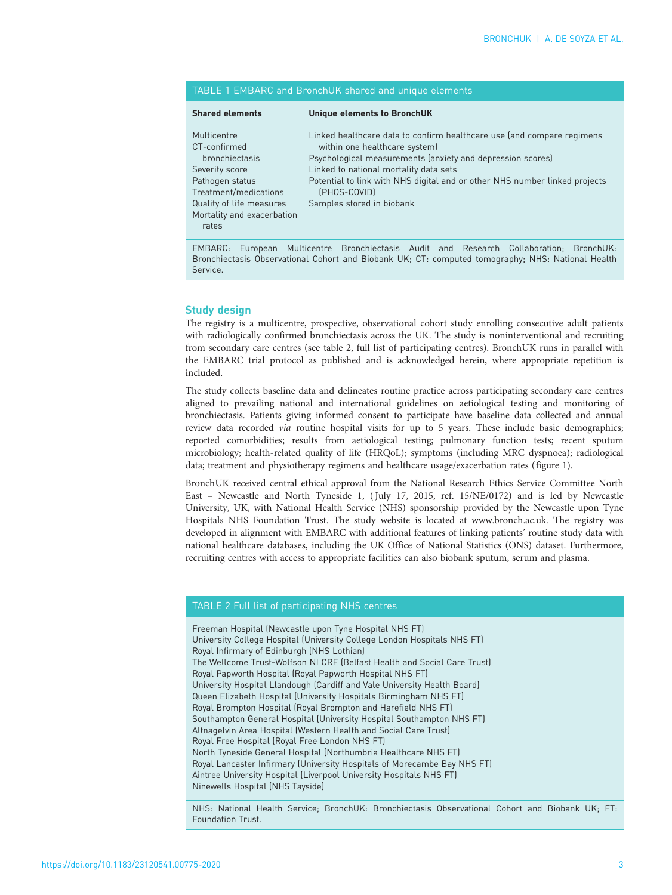<span id="page-2-0"></span>

| TABLE 1 EMBARC and BronchUK shared and unique elements |
|--------------------------------------------------------|
|--------------------------------------------------------|

| <b>Shared elements</b>                                                                                                                                                         | Unique elements to BronchUK                                                                                                                                                                                                                                                                                                                |
|--------------------------------------------------------------------------------------------------------------------------------------------------------------------------------|--------------------------------------------------------------------------------------------------------------------------------------------------------------------------------------------------------------------------------------------------------------------------------------------------------------------------------------------|
| Multicentre<br>CT-confirmed<br>bronchiectasis<br>Severity score<br>Pathogen status<br>Treatment/medications<br>Quality of life measures<br>Mortality and exacerbation<br>rates | Linked healthcare data to confirm healthcare use (and compare regimens<br>within one healthcare system)<br>Psychological measurements (anxiety and depression scores)<br>Linked to national mortality data sets<br>Potential to link with NHS digital and or other NHS number linked projects<br>(PHOS-COVID)<br>Samples stored in biobank |

EMBARC: European Multicentre Bronchiectasis Audit and Research Collaboration; BronchUK: Bronchiectasis Observational Cohort and Biobank UK; CT: computed tomography; NHS: National Health Service.

# Study design

The registry is a multicentre, prospective, observational cohort study enrolling consecutive adult patients with radiologically confirmed bronchiectasis across the UK. The study is noninterventional and recruiting from secondary care centres (see table 2, full list of participating centres). BronchUK runs in parallel with the EMBARC trial protocol as published and is acknowledged herein, where appropriate repetition is included.

The study collects baseline data and delineates routine practice across participating secondary care centres aligned to prevailing national and international guidelines on aetiological testing and monitoring of bronchiectasis. Patients giving informed consent to participate have baseline data collected and annual review data recorded *via* routine hospital visits for up to 5 years. These include basic demographics; reported comorbidities; results from aetiological testing; pulmonary function tests; recent sputum microbiology; health-related quality of life (HRQoL); symptoms (including MRC dyspnoea); radiological data; treatment and physiotherapy regimens and healthcare usage/exacerbation rates [\(figure 1\)](#page-3-0).

BronchUK received central ethical approval from the National Research Ethics Service Committee North East – Newcastle and North Tyneside 1, ( July 17, 2015, ref. 15/NE/0172) and is led by Newcastle University, UK, with National Health Service (NHS) sponsorship provided by the Newcastle upon Tyne Hospitals NHS Foundation Trust. The study website is located at [www.bronch.ac.uk](http://www.bronch.ac.uk). The registry was developed in alignment with EMBARC with additional features of linking patients' routine study data with national healthcare databases, including the UK Office of National Statistics (ONS) dataset. Furthermore, recruiting centres with access to appropriate facilities can also biobank sputum, serum and plasma.

# TABLE 2 Full list of participating NHS centres

Freeman Hospital (Newcastle upon Tyne Hospital NHS FT) University College Hospital (University College London Hospitals NHS FT) Royal Infirmary of Edinburgh (NHS Lothian) The Wellcome Trust-Wolfson NI CRF (Belfast Health and Social Care Trust) Royal Papworth Hospital (Royal Papworth Hospital NHS FT) University Hospital Llandough (Cardiff and Vale University Health Board) Queen Elizabeth Hospital (University Hospitals Birmingham NHS FT) Royal Brompton Hospital (Royal Brompton and Harefield NHS FT) Southampton General Hospital (University Hospital Southampton NHS FT) Altnagelvin Area Hospital (Western Health and Social Care Trust) Royal Free Hospital (Royal Free London NHS FT) North Tyneside General Hospital (Northumbria Healthcare NHS FT) Royal Lancaster Infirmary (University Hospitals of Morecambe Bay NHS FT) Aintree University Hospital (Liverpool University Hospitals NHS FT) Ninewells Hospital (NHS Tayside)

NHS: National Health Service; BronchUK: Bronchiectasis Observational Cohort and Biobank UK; FT: Foundation Trust.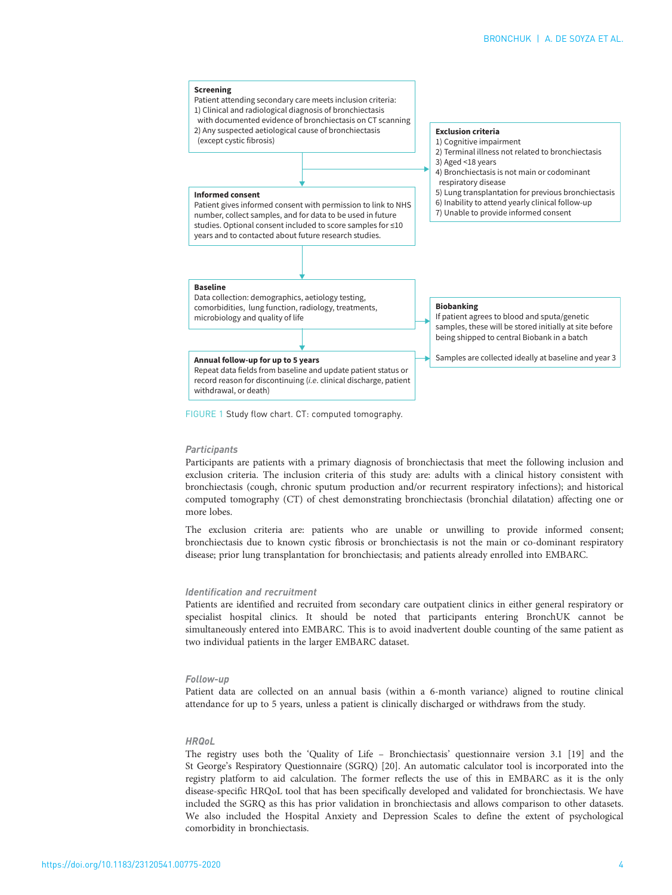<span id="page-3-0"></span>

FIGURE 1 Study flow chart. CT: computed tomography.

#### **Participants**

Participants are patients with a primary diagnosis of bronchiectasis that meet the following inclusion and exclusion criteria. The inclusion criteria of this study are: adults with a clinical history consistent with bronchiectasis (cough, chronic sputum production and/or recurrent respiratory infections); and historical computed tomography (CT) of chest demonstrating bronchiectasis (bronchial dilatation) affecting one or more lobes.

The exclusion criteria are: patients who are unable or unwilling to provide informed consent; bronchiectasis due to known cystic fibrosis or bronchiectasis is not the main or co-dominant respiratory disease; prior lung transplantation for bronchiectasis; and patients already enrolled into EMBARC.

#### Identification and recruitment

Patients are identified and recruited from secondary care outpatient clinics in either general respiratory or specialist hospital clinics. It should be noted that participants entering BronchUK cannot be simultaneously entered into EMBARC. This is to avoid inadvertent double counting of the same patient as two individual patients in the larger EMBARC dataset.

#### Follow-up

Patient data are collected on an annual basis (within a 6-month variance) aligned to routine clinical attendance for up to 5 years, unless a patient is clinically discharged or withdraws from the study.

## **HROol**

The registry uses both the 'Quality of Life – Bronchiectasis' questionnaire version 3.1 [\[19](#page-7-0)] and the St George's Respiratory Questionnaire (SGRQ) [\[20\]](#page-7-0). An automatic calculator tool is incorporated into the registry platform to aid calculation. The former reflects the use of this in EMBARC as it is the only disease-specific HRQoL tool that has been specifically developed and validated for bronchiectasis. We have included the SGRQ as this has prior validation in bronchiectasis and allows comparison to other datasets. We also included the Hospital Anxiety and Depression Scales to define the extent of psychological comorbidity in bronchiectasis.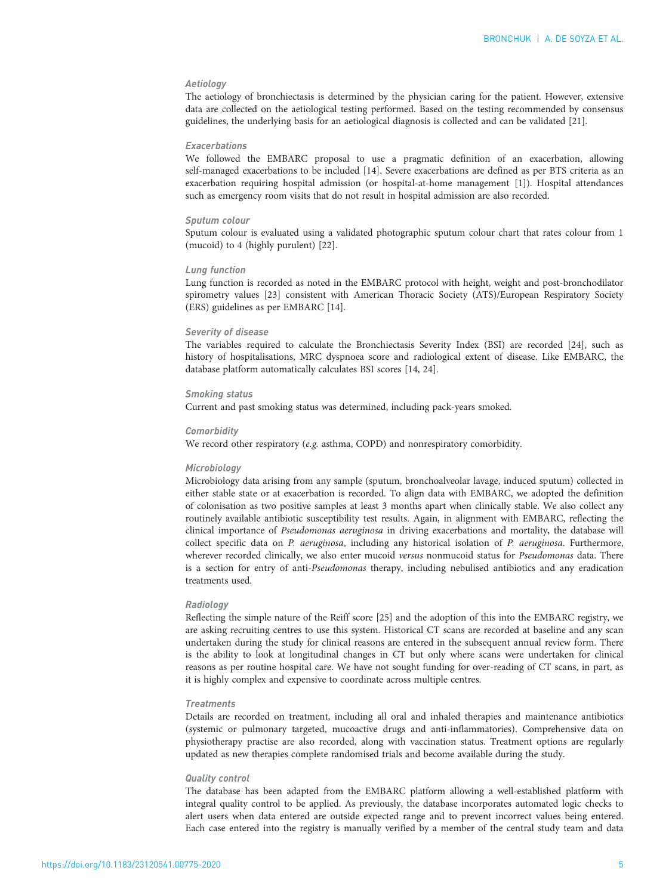# Aetiology

The aetiology of bronchiectasis is determined by the physician caring for the patient. However, extensive data are collected on the aetiological testing performed. Based on the testing recommended by consensus guidelines, the underlying basis for an aetiological diagnosis is collected and can be validated [\[21\]](#page-7-0).

## Exacerbations

We followed the EMBARC proposal to use a pragmatic definition of an exacerbation, allowing self-managed exacerbations to be included [[14\]](#page-7-0). Severe exacerbations are defined as per BTS criteria as an exacerbation requiring hospital admission (or hospital-at-home management [\[1\]](#page-7-0)). Hospital attendances such as emergency room visits that do not result in hospital admission are also recorded.

## Sputum colour

Sputum colour is evaluated using a validated photographic sputum colour chart that rates colour from 1 (mucoid) to 4 (highly purulent) [\[22](#page-7-0)].

#### Lung function

Lung function is recorded as noted in the EMBARC protocol with height, weight and post-bronchodilator spirometry values [\[23\]](#page-7-0) consistent with American Thoracic Society (ATS)/European Respiratory Society (ERS) guidelines as per EMBARC [[14](#page-7-0)].

## Severity of disease

The variables required to calculate the Bronchiectasis Severity Index (BSI) are recorded [\[24](#page-7-0)], such as history of hospitalisations, MRC dyspnoea score and radiological extent of disease. Like EMBARC, the database platform automatically calculates BSI scores [[14](#page-7-0), [24\]](#page-7-0).

## Smoking status

Current and past smoking status was determined, including pack-years smoked.

## **Comorbidity**

We record other respiratory (e.g. asthma, COPD) and nonrespiratory comorbidity.

## Microbiology

Microbiology data arising from any sample (sputum, bronchoalveolar lavage, induced sputum) collected in either stable state or at exacerbation is recorded. To align data with EMBARC, we adopted the definition of colonisation as two positive samples at least 3 months apart when clinically stable. We also collect any routinely available antibiotic susceptibility test results. Again, in alignment with EMBARC, reflecting the clinical importance of Pseudomonas aeruginosa in driving exacerbations and mortality, the database will collect specific data on P. aeruginosa, including any historical isolation of P. aeruginosa. Furthermore, wherever recorded clinically, we also enter mucoid versus nonmucoid status for Pseudomonas data. There is a section for entry of anti-Pseudomonas therapy, including nebulised antibiotics and any eradication treatments used.

#### Radiology

Reflecting the simple nature of the Reiff score [\[25](#page-7-0)] and the adoption of this into the EMBARC registry, we are asking recruiting centres to use this system. Historical CT scans are recorded at baseline and any scan undertaken during the study for clinical reasons are entered in the subsequent annual review form. There is the ability to look at longitudinal changes in CT but only where scans were undertaken for clinical reasons as per routine hospital care. We have not sought funding for over-reading of CT scans, in part, as it is highly complex and expensive to coordinate across multiple centres.

## **Treatments**

Details are recorded on treatment, including all oral and inhaled therapies and maintenance antibiotics (systemic or pulmonary targeted, mucoactive drugs and anti-inflammatories). Comprehensive data on physiotherapy practise are also recorded, along with vaccination status. Treatment options are regularly updated as new therapies complete randomised trials and become available during the study.

#### Quality control

The database has been adapted from the EMBARC platform allowing a well-established platform with integral quality control to be applied. As previously, the database incorporates automated logic checks to alert users when data entered are outside expected range and to prevent incorrect values being entered. Each case entered into the registry is manually verified by a member of the central study team and data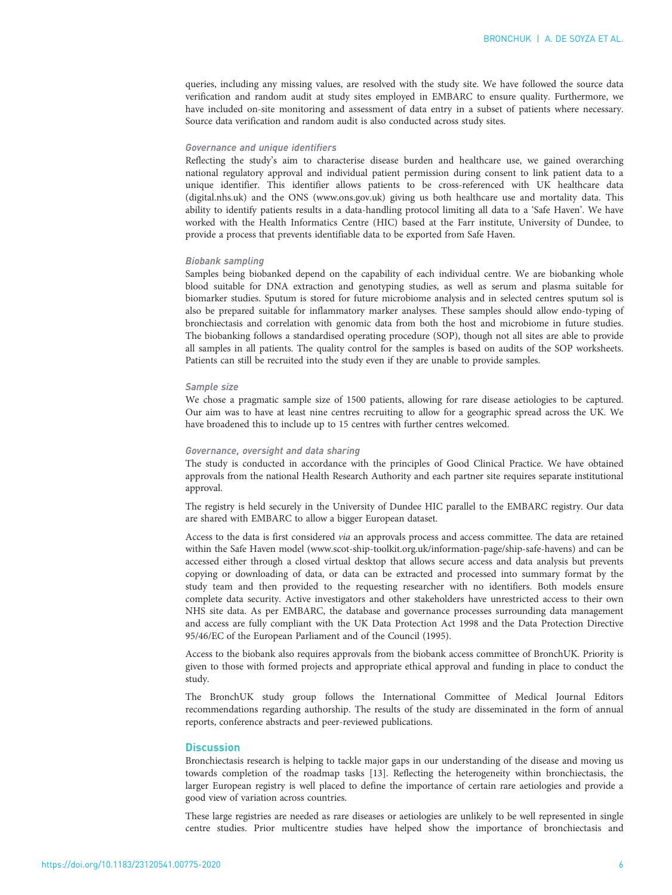queries, including any missing values, are resolved with the study site. We have followed the source data verification and random audit at study sites employed in EMBARC to ensure quality. Furthermore, we have included on-site monitoring and assessment of data entry in a subset of patients where necessary. Source data verification and random audit is also conducted across study sites.

## Governance and unique identifiers

Reflecting the study's aim to characterise disease burden and healthcare use, we gained overarching national regulatory approval and individual patient permission during consent to link patient data to a unique identifier. This identifier allows patients to be cross-referenced with UK healthcare data (digital.nhs.uk) and the ONS [\(www.ons.gov.uk\)](http://www.ons.gov.uk) giving us both healthcare use and mortality data. This ability to identify patients results in a data-handling protocol limiting all data to a 'Safe Haven'. We have worked with the Health Informatics Centre (HIC) based at the Farr institute, University of Dundee, to provide a process that prevents identifiable data to be exported from Safe Haven.

#### Biobank sampling

Samples being biobanked depend on the capability of each individual centre. We are biobanking whole blood suitable for DNA extraction and genotyping studies, as well as serum and plasma suitable for biomarker studies. Sputum is stored for future microbiome analysis and in selected centres sputum sol is also be prepared suitable for inflammatory marker analyses. These samples should allow endo-typing of bronchiectasis and correlation with genomic data from both the host and microbiome in future studies. The biobanking follows a standardised operating procedure (SOP), though not all sites are able to provide all samples in all patients. The quality control for the samples is based on audits of the SOP worksheets. Patients can still be recruited into the study even if they are unable to provide samples.

#### Sample size

We chose a pragmatic sample size of 1500 patients, allowing for rare disease aetiologies to be captured. Our aim was to have at least nine centres recruiting to allow for a geographic spread across the UK. We have broadened this to include up to 15 centres with further centres welcomed.

## Governance, oversight and data sharing

The study is conducted in accordance with the principles of Good Clinical Practice. We have obtained approvals from the national Health Research Authority and each partner site requires separate institutional approval.

The registry is held securely in the University of Dundee HIC parallel to the EMBARC registry. Our data are shared with EMBARC to allow a bigger European dataset.

Access to the data is first considered via an approvals process and access committee. The data are retained within the Safe Haven model [\(www.scot-ship-toolkit.org.uk/information-page/ship-safe-havens](http://www.scot-ship-toolkit.org.uk/information-page/ship-safe-havens)) and can be accessed either through a closed virtual desktop that allows secure access and data analysis but prevents copying or downloading of data, or data can be extracted and processed into summary format by the study team and then provided to the requesting researcher with no identifiers. Both models ensure complete data security. Active investigators and other stakeholders have unrestricted access to their own NHS site data. As per EMBARC, the database and governance processes surrounding data management and access are fully compliant with the UK Data Protection Act 1998 and the Data Protection Directive 95/46/EC of the European Parliament and of the Council (1995).

Access to the biobank also requires approvals from the biobank access committee of BronchUK. Priority is given to those with formed projects and appropriate ethical approval and funding in place to conduct the study.

The BronchUK study group follows the International Committee of Medical Journal Editors recommendations regarding authorship. The results of the study are disseminated in the form of annual reports, conference abstracts and peer-reviewed publications.

# **Discussion**

Bronchiectasis research is helping to tackle major gaps in our understanding of the disease and moving us towards completion of the roadmap tasks [[13](#page-7-0)]. Reflecting the heterogeneity within bronchiectasis, the larger European registry is well placed to define the importance of certain rare aetiologies and provide a good view of variation across countries.

These large registries are needed as rare diseases or aetiologies are unlikely to be well represented in single centre studies. Prior multicentre studies have helped show the importance of bronchiectasis and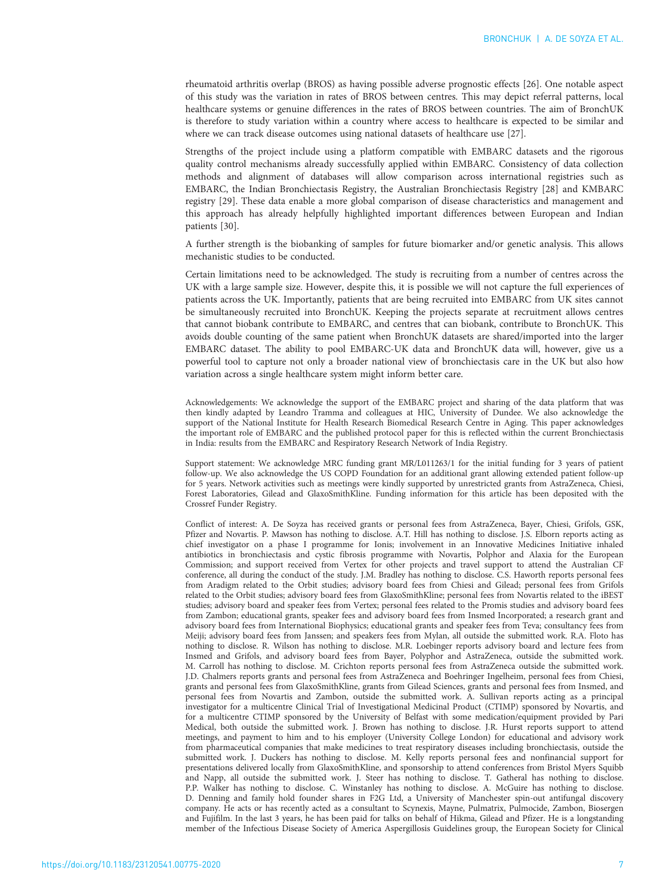rheumatoid arthritis overlap (BROS) as having possible adverse prognostic effects [[26](#page-7-0)]. One notable aspect of this study was the variation in rates of BROS between centres. This may depict referral patterns, local healthcare systems or genuine differences in the rates of BROS between countries. The aim of BronchUK is therefore to study variation within a country where access to healthcare is expected to be similar and where we can track disease outcomes using national datasets of healthcare use [[27](#page-7-0)].

Strengths of the project include using a platform compatible with EMBARC datasets and the rigorous quality control mechanisms already successfully applied within EMBARC. Consistency of data collection methods and alignment of databases will allow comparison across international registries such as EMBARC, the Indian Bronchiectasis Registry, the Australian Bronchiectasis Registry [[28](#page-7-0)] and KMBARC registry [\[29\]](#page-7-0). These data enable a more global comparison of disease characteristics and management and this approach has already helpfully highlighted important differences between European and Indian patients [\[30\]](#page-7-0).

A further strength is the biobanking of samples for future biomarker and/or genetic analysis. This allows mechanistic studies to be conducted.

Certain limitations need to be acknowledged. The study is recruiting from a number of centres across the UK with a large sample size. However, despite this, it is possible we will not capture the full experiences of patients across the UK. Importantly, patients that are being recruited into EMBARC from UK sites cannot be simultaneously recruited into BronchUK. Keeping the projects separate at recruitment allows centres that cannot biobank contribute to EMBARC, and centres that can biobank, contribute to BronchUK. This avoids double counting of the same patient when BronchUK datasets are shared/imported into the larger EMBARC dataset. The ability to pool EMBARC-UK data and BronchUK data will, however, give us a powerful tool to capture not only a broader national view of bronchiectasis care in the UK but also how variation across a single healthcare system might inform better care.

Acknowledgements: We acknowledge the support of the EMBARC project and sharing of the data platform that was then kindly adapted by Leandro Tramma and colleagues at HIC, University of Dundee. We also acknowledge the support of the National Institute for Health Research Biomedical Research Centre in Aging. This paper acknowledges the important role of EMBARC and the published protocol paper for this is reflected within the current Bronchiectasis in India: results from the EMBARC and Respiratory Research Network of India Registry.

Support statement: We acknowledge MRC funding grant MR/L011263/1 for the initial funding for 3 years of patient follow-up. We also acknowledge the US COPD Foundation for an additional grant allowing extended patient follow-up for 5 years. Network activities such as meetings were kindly supported by unrestricted grants from AstraZeneca, Chiesi, Forest Laboratories, Gilead and GlaxoSmithKline. Funding information for this article has been deposited with the [Crossref Funder Registry.](https://www.crossref.org/services/funder-registry/)

Conflict of interest: A. De Soyza has received grants or personal fees from AstraZeneca, Bayer, Chiesi, Grifols, GSK, Pfizer and Novartis. P. Mawson has nothing to disclose. A.T. Hill has nothing to disclose. J.S. Elborn reports acting as chief investigator on a phase I programme for Ionis; involvement in an Innovative Medicines Initiative inhaled antibiotics in bronchiectasis and cystic fibrosis programme with Novartis, Polphor and Alaxia for the European Commission; and support received from Vertex for other projects and travel support to attend the Australian CF conference, all during the conduct of the study. J.M. Bradley has nothing to disclose. C.S. Haworth reports personal fees from Aradigm related to the Orbit studies; advisory board fees from Chiesi and Gilead; personal fees from Grifols related to the Orbit studies; advisory board fees from GlaxoSmithKline; personal fees from Novartis related to the iBEST studies; advisory board and speaker fees from Vertex; personal fees related to the Promis studies and advisory board fees from Zambon; educational grants, speaker fees and advisory board fees from Insmed Incorporated; a research grant and advisory board fees from International Biophysics; educational grants and speaker fees from Teva; consultancy fees from Meiji; advisory board fees from Janssen; and speakers fees from Mylan, all outside the submitted work. R.A. Floto has nothing to disclose. R. Wilson has nothing to disclose. M.R. Loebinger reports advisory board and lecture fees from Insmed and Grifols, and advisory board fees from Bayer, Polyphor and AstraZeneca, outside the submitted work. M. Carroll has nothing to disclose. M. Crichton reports personal fees from AstraZeneca outside the submitted work. J.D. Chalmers reports grants and personal fees from AstraZeneca and Boehringer Ingelheim, personal fees from Chiesi, grants and personal fees from GlaxoSmithKline, grants from Gilead Sciences, grants and personal fees from Insmed, and personal fees from Novartis and Zambon, outside the submitted work. A. Sullivan reports acting as a principal investigator for a multicentre Clinical Trial of Investigational Medicinal Product (CTIMP) sponsored by Novartis, and for a multicentre CTIMP sponsored by the University of Belfast with some medication/equipment provided by Pari Medical, both outside the submitted work. J. Brown has nothing to disclose. J.R. Hurst reports support to attend meetings, and payment to him and to his employer (University College London) for educational and advisory work from pharmaceutical companies that make medicines to treat respiratory diseases including bronchiectasis, outside the submitted work. J. Duckers has nothing to disclose. M. Kelly reports personal fees and nonfinancial support for presentations delivered locally from GlaxoSmithKline, and sponsorship to attend conferences from Bristol Myers Squibb and Napp, all outside the submitted work. J. Steer has nothing to disclose. T. Gatheral has nothing to disclose. P.P. Walker has nothing to disclose. C. Winstanley has nothing to disclose. A. McGuire has nothing to disclose. D. Denning and family hold founder shares in F2G Ltd, a University of Manchester spin-out antifungal discovery company. He acts or has recently acted as a consultant to Scynexis, Mayne, Pulmatrix, Pulmocide, Zambon, Biosergen and Fujifilm. In the last 3 years, he has been paid for talks on behalf of Hikma, Gilead and Pfizer. He is a longstanding member of the Infectious Disease Society of America Aspergillosis Guidelines group, the European Society for Clinical